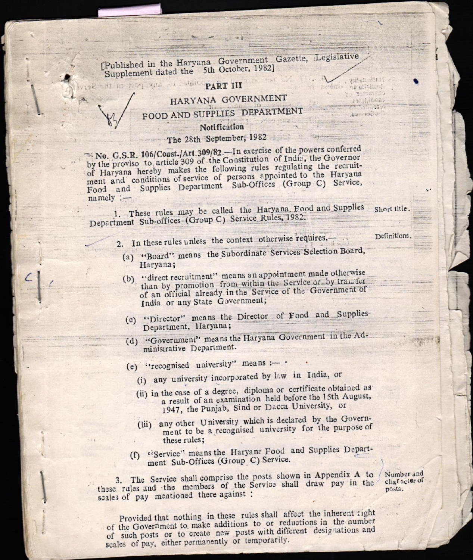[Published in the Haryana Government Gazette, Legislative Supplement dated the 5th October, 1982]

## the hon via of salate PART III

## HARYANA GOVERNMENT

FOOD AND SUPPLIES DEPARTMENT

Notification

## The 28th September, 1982

No. G.S.R. 106/Const./Art.309/82.-In exercise of the powers conferred by the proviso to article 309 of the Constitution of India, the Governor of Haryana hereby makes the following rules regulating the recruitment and conditions of service of persons appointed to the Haryana Food and Supplies Department Sub-Offices (Group C) Service,  $namely :=$ 

1. These rules may be called the Haryana Food and Supplies Department Sub-offices (Group C) Service Rules, 1982.

2. In these rules unless the context otherwise requires,-

- (a) "Board" means the Subordinate Services Selection Board, Haryana;
- (b) "direct recruitment" means an appointment made otherwise than by promotion from within the Service or by transfer of an official already in the Service of the Government of India or any State Government;
- (c) "Director" means the Director of Food and Supplies-Department, Haryana;
- (d) "Government" means the Haryana Government in the Administrative Department.
- (e) "recognised university" means :-
	- (i) any university incorporated by law in India, or
	- (ii) in the case of a degree, diploma or certificate obtained as a result of an examination held before the 15th August, 1947, the Punjab, Sind or Dacca University, or
	- (iii) any other University which is declared by the Government to be a recognised university for the purpose of these rules;
- "Service" means the Haryana Food and Supplies Depart- $(f)$ ment Sub-Offices (Group C) Service.

3. The Service shall comprise the posts shown in Appendix A to these rules and the members of the Service shall draw pay in the scales of pay mentioned there against :

Number and char acter of posts.

Provided that nothing in these rules shall affect the inherent right of the Government to make additions to or reductions in the number of such posts or to create new posts with different designations and scales of pay, either permanently or temporarily.

Short title.

Nuthinality ...

to tamanas

PSIShibcav  $7731.12.1$ 

Definitions.